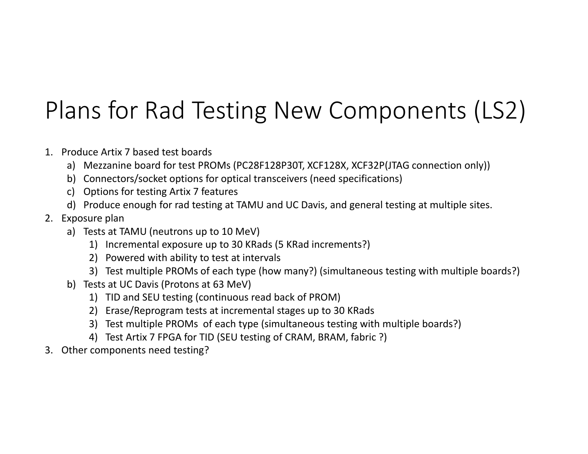## Plans for Rad Testing New Components (LS2)

- 1. Produce Artix 7 based test boards
	- a) Mezzanine board for test PROMs (PC28F128P30T, XCF128X, XCF32P(JTAG connection only))
	- b) Connectors/socket options for optical transceivers (need specifications)
	- c) Options for testing Artix 7 features
	- d) Produce enough for rad testing at TAMU and UC Davis, and general testing at multiple sites.
- 2. Exposure plan
	- a) Tests at TAMU (neutrons up to 10 MeV)
		- 1) Incremental exposure up to 30 KRads (5 KRad increments?)
		- 2) Powered with ability to test at intervals
		- 3) Test multiple PROMs of each type (how many?) (simultaneous testing with multiple boards?)
	- b) Tests at UC Davis (Protons at 63 MeV)
		- 1) TID and SEU testing (continuous read back of PROM)
		- 2) Erase/Reprogram tests at incremental stages up to 30 KRads
		- 3) Test multiple PROMs of each type (simultaneous testing with multiple boards?)
		- 4) Test Artix 7 FPGA for TID (SEU testing of CRAM, BRAM, fabric ?)
- 3. Other components need testing?